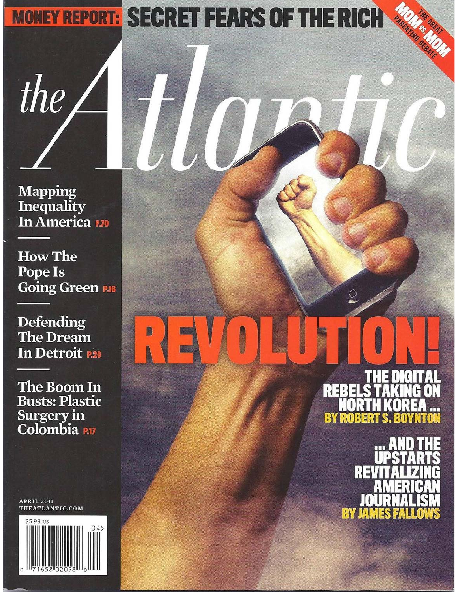# **MONEY REPORT: SECRET FEARS OF THE RICH**

**Mapping** Inequality In America P.70

the

**How The** Pope Is Going Green P.16

**Defending** The Dream In Detroit R20

The Boom In **Busts: Plastic Surgery in<br>Colombia** 

**APRIL 2011** THEATLANTIC.COM



Н REBEL M KO. **RY RO** 

> RE Iſ BY JA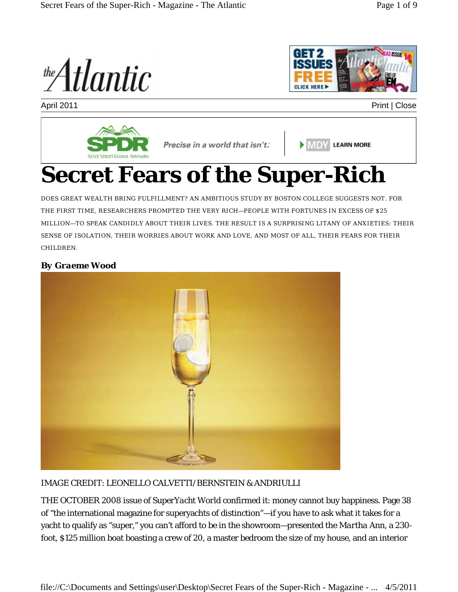the **Atlantic** 



April 2011 **Print | Close** 



**EMDY LEARN MORE** 

# **Secret Fears of the Super-Rich**

DOES GREAT WEALTH BRING FULFILLMENT? AN AMBITIOUS STUDY BY BOSTON COLLEGE SUGGESTS NOT. FOR THE FIRST TIME, RESEARCHERS PROMPTED THE VERY RICH—PEOPLE WITH FORTUNES IN EXCESS OF \$25 MILLION—TO SPEAK CANDIDLY ABOUT THEIR LIVES. THE RESULT IS A SURPRISING LITANY OF ANXIETIES: THEIR SENSE OF ISOLATION, THEIR WORRIES ABOUT WORK AND LOVE, AND MOST OF ALL, THEIR FEARS FOR THEIR CHILDREN.

## *By Graeme Wood*



## IMAGE CREDIT: LEONELLO CALVETTI/BERNSTEIN & ANDRIULLI

THE OCTOBER 2008 issue of *SuperYacht World* confirmed it: money cannot buy happiness. Page 38 of "the international magazine for superyachts of distinction"—if you have to ask what it takes for a yacht to qualify as "super," you can't afford to be in the showroom—presented the *Martha Ann*, a 230 foot, \$125 million boat boasting a crew of 20, a master bedroom the size of my house, and an interior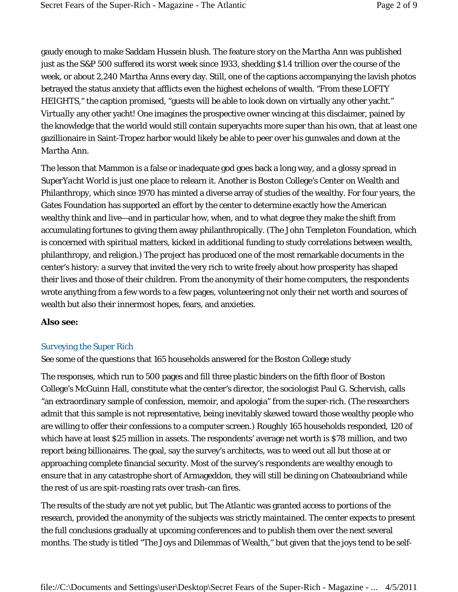gaudy enough to make Saddam Hussein blush. The feature story on the *Martha Ann* was published just as the S&P 500 suffered its worst week since 1933, shedding \$1.4 trillion over the course of the week, or about 2,240 *Martha Ann*s every day. Still, one of the captions accompanying the lavish photos betrayed the status anxiety that afflicts even the highest echelons of wealth. "From these LOFTY HEIGHTS," the caption promised, "guests will be able to look down on virtually any other yacht." *Virtually* any other yacht! One imagines the prospective owner wincing at this disclaimer, pained by the knowledge that the world would still contain superyachts more super than his own, that at least one gazillionaire in Saint-Tropez harbor would likely be able to peer over his gunwales and down at the *Martha Ann*.

The lesson that Mammon is a false or inadequate god goes back a long way, and a glossy spread in *SuperYacht World* is just one place to relearn it. Another is Boston College's Center on Wealth and Philanthropy, which since 1970 has minted a diverse array of studies of the wealthy. For four years, the Gates Foundation has supported an effort by the center to determine exactly how the American wealthy think and live—and in particular how, when, and to what degree they make the shift from accumulating fortunes to giving them away philanthropically. (The John Templeton Foundation, which is concerned with spiritual matters, kicked in additional funding to study correlations between wealth, philanthropy, and religion.) The project has produced one of the most remarkable documents in the center's history: a survey that invited the very rich to write freely about how prosperity has shaped their lives and those of their children. From the anonymity of their home computers, the respondents wrote anything from a few words to a few pages, volunteering not only their net worth and sources of wealth but also their innermost hopes, fears, and anxieties.

#### **Also see:**

#### Surveying the Super Rich

See some of the questions that 165 households answered for the Boston College study

The responses, which run to 500 pages and fill three plastic binders on the fifth floor of Boston College's McGuinn Hall, constitute what the center's director, the sociologist Paul G. Schervish, calls "an extraordinary sample of confession, memoir, and apologia" from the super-rich. (The researchers admit that this sample is not representative, being inevitably skewed toward those wealthy people who are willing to offer their confessions to a computer screen.) Roughly 165 households responded, 120 of which have at least \$25 million in assets. The respondents' average net worth is \$78 million, and two report being billionaires. The goal, say the survey's architects, was to weed out all but those at or approaching complete financial security. Most of the survey's respondents are wealthy enough to ensure that in any catastrophe short of Armageddon, they will still be dining on Chateaubriand while the rest of us are spit-roasting rats over trash-can fires.

The results of the study are not yet public, but *The Atlantic* was granted access to portions of the research, provided the anonymity of the subjects was strictly maintained. The center expects to present the full conclusions gradually at upcoming conferences and to publish them over the next several months. The study is titled "The Joys and Dilemmas of Wealth," but given that the joys tend to be self-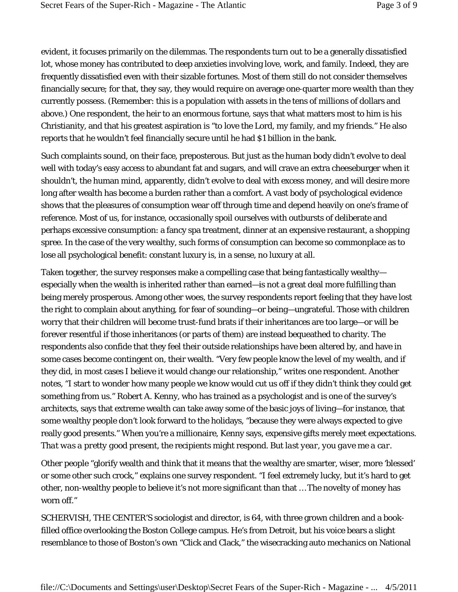evident, it focuses primarily on the dilemmas. The respondents turn out to be a generally dissatisfied lot, whose money has contributed to deep anxieties involving love, work, and family. Indeed, they are frequently dissatisfied even with their sizable fortunes. Most of them still do not consider themselves financially secure; for that, they say, they would require on average one-quarter more wealth than they currently possess. (Remember: this is a population with assets in the tens of millions of dollars and above.) One respondent, the heir to an enormous fortune, says that what matters most to him is his Christianity, and that his greatest aspiration is "to love the Lord, my family, and my friends." He also reports that he wouldn't feel financially secure until he had \$1 billion in the bank.

Such complaints sound, on their face, preposterous. But just as the human body didn't evolve to deal well with today's easy access to abundant fat and sugars, and will crave an extra cheeseburger when it shouldn't, the human mind, apparently, didn't evolve to deal with excess money, and will desire more long after wealth has become a burden rather than a comfort. A vast body of psychological evidence shows that the pleasures of consumption wear off through time and depend heavily on one's frame of reference. Most of us, for instance, occasionally spoil ourselves with outbursts of deliberate and perhaps excessive consumption: a fancy spa treatment, dinner at an expensive restaurant, a shopping spree. In the case of the very wealthy, such forms of consumption can become so commonplace as to lose all psychological benefit: constant luxury is, in a sense, no luxury at all.

Taken together, the survey responses make a compelling case that being fantastically wealthy especially when the wealth is inherited rather than earned—is not a great deal more fulfilling than being merely prosperous. Among other woes, the survey respondents report feeling that they have lost the right to complain about anything, for fear of sounding—or being—ungrateful. Those with children worry that their children will become trust-fund brats if their inheritances are too large—or will be forever resentful if those inheritances (or parts of them) are instead bequeathed to charity. The respondents also confide that they feel their outside relationships have been altered by, and have in some cases become contingent on, their wealth. "Very few people know the level of my wealth, and if they did, in most cases I believe it would change our relationship," writes one respondent. Another notes, "I start to wonder how many people we know would cut us off if they didn't think they could get something from us." Robert A. Kenny, who has trained as a psychologist and is one of the survey's architects, says that extreme wealth can take away some of the basic joys of living—for instance, that some wealthy people don't look forward to the holidays, "because they were always expected to give really good presents." When you're a millionaire, Kenny says, expensive gifts merely meet expectations. *That was a pretty good present*, the recipients might respond. *But last year, you gave me a car*.

Other people "glorify wealth and think that it means that the wealthy are smarter, wiser, more 'blessed' or some other such crock," explains one survey respondent. "I feel extremely lucky, but it's hard to get other, non-wealthy people to believe it's not more significant than that … The novelty of money has worn off."

SCHERVISH, THE CENTER'S sociologist and director, is 64, with three grown children and a bookfilled office overlooking the Boston College campus. He's from Detroit, but his voice bears a slight resemblance to those of Boston's own "Click and Clack," the wisecracking auto mechanics on National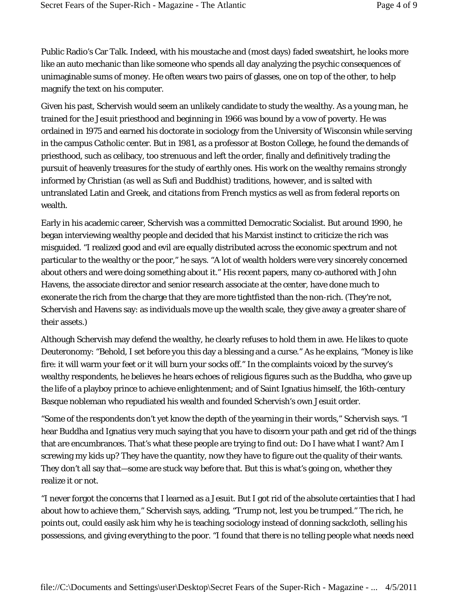Public Radio's Car Talk. Indeed, with his moustache and (most days) faded sweatshirt, he looks more like an auto mechanic than like someone who spends all day analyzing the psychic consequences of unimaginable sums of money. He often wears two pairs of glasses, one on top of the other, to help magnify the text on his computer.

Given his past, Schervish would seem an unlikely candidate to study the wealthy. As a young man, he trained for the Jesuit priesthood and beginning in 1966 was bound by a vow of poverty. He was ordained in 1975 and earned his doctorate in sociology from the University of Wisconsin while serving in the campus Catholic center. But in 1981, as a professor at Boston College, he found the demands of priesthood, such as celibacy, too strenuous and left the order, finally and definitively trading the pursuit of heavenly treasures for the study of earthly ones. His work on the wealthy remains strongly informed by Christian (as well as Sufi and Buddhist) traditions, however, and is salted with untranslated Latin and Greek, and citations from French mystics as well as from federal reports on wealth.

Early in his academic career, Schervish was a committed Democratic Socialist. But around 1990, he began interviewing wealthy people and decided that his Marxist instinct to criticize the rich was misguided. "I realized good and evil are equally distributed across the economic spectrum and not particular to the wealthy or the poor," he says. "A lot of wealth holders were very sincerely concerned about others and were doing something about it." His recent papers, many co-authored with John Havens, the associate director and senior research associate at the center, have done much to exonerate the rich from the charge that they are more tightfisted than the non-rich. (They're not, Schervish and Havens say: as individuals move up the wealth scale, they give away a greater share of their assets.)

Although Schervish may defend the wealthy, he clearly refuses to hold them in awe. He likes to quote Deuteronomy: "Behold, I set before you this day a blessing and a curse." As he explains, "Money is like fire: it will warm your feet or it will burn your socks off." In the complaints voiced by the survey's wealthy respondents, he believes he hears echoes of religious figures such as the Buddha, who gave up the life of a playboy prince to achieve enlightenment; and of Saint Ignatius himself, the 16th-century Basque nobleman who repudiated his wealth and founded Schervish's own Jesuit order.

"Some of the respondents don't yet know the depth of the yearning in their words," Schervish says. "I hear Buddha and Ignatius very much saying that you have to discern your path and get rid of the things that are encumbrances. That's what these people are trying to find out: Do I have what I want? Am I screwing my kids up? They have the quantity, now they have to figure out the quality of their wants. They don't all say that—some are stuck way before that. But this is what's going on, whether they realize it or not.

"I never forgot the concerns that I learned as a Jesuit. But I got rid of the absolute certainties that I had about how to achieve them," Schervish says, adding, "Trump not, lest you be trumped." The rich, he points out, could easily ask him why he is teaching sociology instead of donning sackcloth, selling his possessions, and giving everything to the poor. "I found that there is no telling people what needs need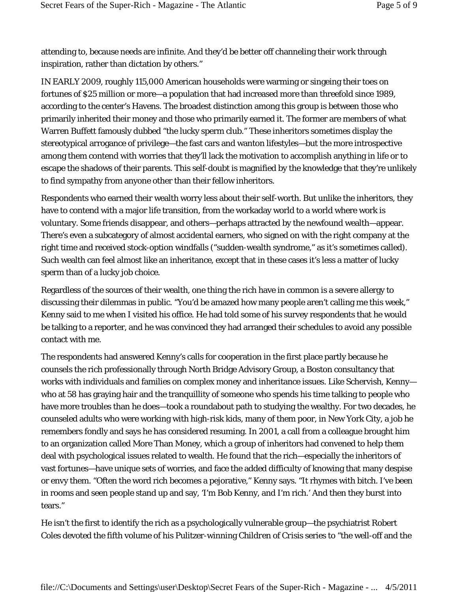attending to, because needs are infinite. And they'd be better off channeling their work through inspiration, rather than dictation by others."

IN EARLY 2009, roughly 115,000 American households were warming or singeing their toes on fortunes of \$25 million or more—a population that had increased more than threefold since 1989, according to the center's Havens. The broadest distinction among this group is between those who primarily inherited their money and those who primarily earned it. The former are members of what Warren Buffett famously dubbed "the lucky sperm club." These inheritors sometimes display the stereotypical arrogance of privilege—the fast cars and wanton lifestyles—but the more introspective among them contend with worries that they'll lack the motivation to accomplish anything in life or to escape the shadows of their parents. This self-doubt is magnified by the knowledge that they're unlikely to find sympathy from anyone other than their fellow inheritors.

Respondents who earned their wealth worry less about their self-worth. But unlike the inheritors, they have to contend with a major life transition, from the workaday world to a world where work is voluntary. Some friends disappear, and others—perhaps attracted by the newfound wealth—appear. There's even a subcategory of almost accidental earners, who signed on with the right company at the right time and received stock-option windfalls ("sudden-wealth syndrome," as it's sometimes called). Such wealth can feel almost like an inheritance, except that in these cases it's less a matter of lucky sperm than of a lucky job choice.

Regardless of the sources of their wealth, one thing the rich have in common is a severe allergy to discussing their dilemmas in public. "You'd be amazed how many people aren't calling me this week," Kenny said to me when I visited his office. He had told some of his survey respondents that he would be talking to a reporter, and he was convinced they had arranged their schedules to avoid any possible contact with me.

The respondents had answered Kenny's calls for cooperation in the first place partly because he counsels the rich professionally through North Bridge Advisory Group, a Boston consultancy that works with individuals and families on complex money and inheritance issues. Like Schervish, Kenny who at 58 has graying hair and the tranquillity of someone who spends his time talking to people who have more troubles than he does—took a roundabout path to studying the wealthy. For two decades, he counseled adults who were working with high-risk kids, many of them poor, in New York City, a job he remembers fondly and says he has considered resuming. In 2001, a call from a colleague brought him to an organization called More Than Money, which a group of inheritors had convened to help them deal with psychological issues related to wealth. He found that the rich—especially the inheritors of vast fortunes—have unique sets of worries, and face the added difficulty of knowing that many despise or envy them. "Often the word rich becomes a pejorative," Kenny says. "It rhymes with bitch. I've been in rooms and seen people stand up and say, 'I'm Bob Kenny, and I'm rich.' And then they burst into tears."

He isn't the first to identify the rich as a psychologically vulnerable group—the psychiatrist Robert Coles devoted the fifth volume of his Pulitzer-winning *Children of Crisis* series to "the well-off and the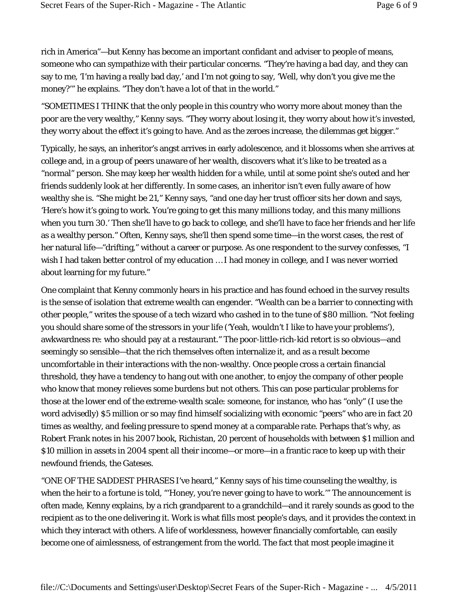rich in America"—but Kenny has become an important confidant and adviser to people of means, someone who can sympathize with their particular concerns. "They're having a bad day, and they can say to me, 'I'm having a really bad day,' and I'm not going to say, 'Well, why don't you give *me* the money?'" he explains. "They don't have a lot of that in the world."

"SOMETIMES I THINK that the only people in this country who worry more about money than the poor are the very wealthy," Kenny says. "They worry about losing it, they worry about how it's invested, they worry about the effect it's going to have. And as the zeroes increase, the dilemmas get bigger."

Typically, he says, an inheritor's angst arrives in early adolescence, and it blossoms when she arrives at college and, in a group of peers unaware of her wealth, discovers what it's like to be treated as a "normal" person. She may keep her wealth hidden for a while, until at some point she's outed and her friends suddenly look at her differently. In some cases, an inheritor isn't even fully aware of how wealthy she is. "She might be 21," Kenny says, "and one day her trust officer sits her down and says, 'Here's how it's going to work. You're going to get this many millions today, and this many millions when you turn 30.' Then she'll have to go back to college, and she'll have to face her friends and her life as a wealthy person." Often, Kenny says, she'll then spend some time—in the worst cases, the rest of her natural life—"drifting," without a career or purpose. As one respondent to the survey confesses, "I wish I had taken better control of my education … I had money in college, and I was never worried about learning for my future."

One complaint that Kenny commonly hears in his practice and has found echoed in the survey results is the sense of isolation that extreme wealth can engender. "Wealth can be a barrier to connecting with other people," writes the spouse of a tech wizard who cashed in to the tune of \$80 million. "Not feeling you should share some of the stressors in your life ('Yeah, wouldn't I like to have your problems'), awkwardness re: who should pay at a restaurant." The poor-little-rich-kid retort is so obvious—and seemingly so sensible—that the rich themselves often internalize it, and as a result become uncomfortable in their interactions with the non-wealthy. Once people cross a certain financial threshold, they have a tendency to hang out with one another, to enjoy the company of other people who know that money relieves some burdens but not others. This can pose particular problems for those at the lower end of the extreme-wealth scale: someone, for instance, who has "only" (I use the word advisedly) \$5 million or so may find himself socializing with economic "peers" who are in fact 20 times as wealthy, and feeling pressure to spend money at a comparable rate. Perhaps that's why, as Robert Frank notes in his 2007 book, Richistan, 20 percent of households with between \$1 million and \$10 million in assets in 2004 spent all their income—or more—in a frantic race to keep up with their newfound friends, the Gateses.

"ONE OF THE SADDEST PHRASES I've heard," Kenny says of his time counseling the wealthy, is when the heir to a fortune is told, "'Honey, you're never going to have to work." The announcement is often made, Kenny explains, by a rich grandparent to a grandchild—and it rarely sounds as good to the recipient as to the one delivering it. Work is what fills most people's days, and it provides the context in which they interact with others. A life of worklessness, however financially comfortable, can easily become one of aimlessness, of estrangement from the world. The fact that most people imagine it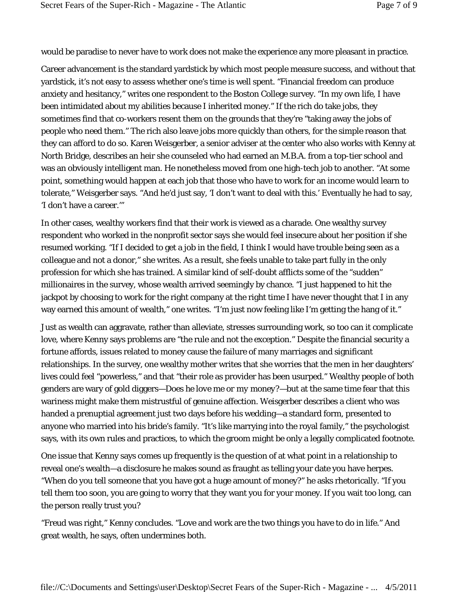would be paradise to never have to work does not make the experience any more pleasant in practice.

Career advancement is the standard yardstick by which most people measure success, and without that yardstick, it's not easy to assess whether one's time is well spent. "Financial freedom can produce anxiety and hesitancy," writes one respondent to the Boston College survey. "In my own life, I have been intimidated about my abilities because I inherited money." If the rich do take jobs, they sometimes find that co-workers resent them on the grounds that they're "taking away the jobs of people who need them." The rich also leave jobs more quickly than others, for the simple reason that they can afford to do so. Karen Weisgerber, a senior adviser at the center who also works with Kenny at North Bridge, describes an heir she counseled who had earned an M.B.A. from a top-tier school and was an obviously intelligent man. He nonetheless moved from one high-tech job to another. "At some point, something would happen at each job that those who have to work for an income would learn to tolerate," Weisgerber says. "And he'd just say, 'I don't want to deal with this.' Eventually he had to say, 'I don't have a career.'"

In other cases, wealthy workers find that their work is viewed as a charade. One wealthy survey respondent who worked in the nonprofit sector says she would feel insecure about her position if she resumed working. "If I decided to get a job in the field, I think I would have trouble being seen as a colleague and not a donor," she writes. As a result, she feels unable to take part fully in the only profession for which she has trained. A similar kind of self-doubt afflicts some of the "sudden" millionaires in the survey, whose wealth arrived seemingly by chance. "I just happened to hit the jackpot by choosing to work for the right company at the right time I have never thought that I in any way earned this amount of wealth," one writes. "I'm just now feeling like I'm getting the hang of it."

Just as wealth can aggravate, rather than alleviate, stresses surrounding work, so too can it complicate love, where Kenny says problems are "the rule and not the exception." Despite the financial security a fortune affords, issues related to money cause the failure of many marriages and significant relationships. In the survey, one wealthy mother writes that she worries that the men in her daughters' lives could feel "powerless," and that "their role as provider has been usurped." Wealthy people of both genders are wary of gold diggers—*Does he love me or my money?*—but at the same time fear that this wariness might make them mistrustful of genuine affection. Weisgerber describes a client who was handed a prenuptial agreement just two days before his wedding—a standard form, presented to anyone who married into his bride's family. "It's like marrying into the royal family," the psychologist says, with its own rules and practices, to which the groom might be only a legally complicated footnote.

One issue that Kenny says comes up frequently is the question of at what point in a relationship to reveal one's wealth—a disclosure he makes sound as fraught as telling your date you have herpes. "When do you tell someone that you have got a huge amount of money?" he asks rhetorically. "If you tell them too soon, you are going to worry that they want you for your money. If you wait too long, can the person really trust you?

"Freud was right," Kenny concludes. "Love and work are the two things you have to do in life." And great wealth, he says, often undermines both.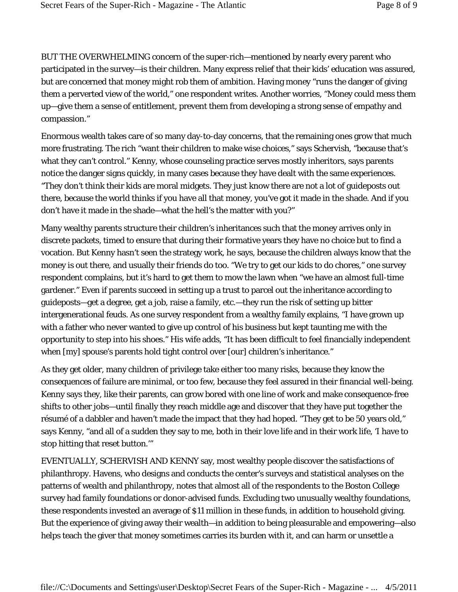BUT THE OVERWHELMING concern of the super-rich—mentioned by nearly every parent who participated in the survey—is their children. Many express relief that their kids' education was assured, but are concerned that money might rob them of ambition. Having money "runs the danger of giving them a perverted view of the world," one respondent writes. Another worries, "Money could mess them up—give them a sense of entitlement, prevent them from developing a strong sense of empathy and compassion."

Enormous wealth takes care of so many day-to-day concerns, that the remaining ones grow that much more frustrating. The rich "want their children to make wise choices," says Schervish, "because that's what they can't control." Kenny, whose counseling practice serves mostly inheritors, says parents notice the danger signs quickly, in many cases because they have dealt with the same experiences. "They don't think their kids are moral midgets. They just know there are not a lot of guideposts out there, because the world thinks if you have all that money, you've got it made in the shade. And if you don't have it made in the shade—what the hell's the matter with you?"

Many wealthy parents structure their children's inheritances such that the money arrives only in discrete packets, timed to ensure that during their formative years they have no choice but to find a vocation. But Kenny hasn't seen the strategy work, he says, because the children always know that the money is out there, and usually their friends do too. "We try to get our kids to do chores," one survey respondent complains, but it's hard to get them to mow the lawn when "we have an almost full-time gardener." Even if parents succeed in setting up a trust to parcel out the inheritance according to guideposts—get a degree, get a job, raise a family, etc.—they run the risk of setting up bitter intergenerational feuds. As one survey respondent from a wealthy family explains, "I have grown up with a father who never wanted to give up control of his business but kept taunting me with the opportunity to step into his shoes." His wife adds, "It has been difficult to feel financially independent when [my] spouse's parents hold tight control over [our] children's inheritance."

As they get older, many children of privilege take either too many risks, because they know the consequences of failure are minimal, or too few, because they feel assured in their financial well-being. Kenny says they, like their parents, can grow bored with one line of work and make consequence-free shifts to other jobs—until finally they reach middle age and discover that they have put together the résumé of a dabbler and haven't made the impact that they had hoped. "They get to be 50 years old," says Kenny, "and all of a sudden they say to me, both in their love life and in their work life, 'I have to stop hitting that reset button.'"

EVENTUALLY, SCHERVISH AND KENNY say, most wealthy people discover the satisfactions of philanthropy. Havens, who designs and conducts the center's surveys and statistical analyses on the patterns of wealth and philanthropy, notes that almost all of the respondents to the Boston College survey had family foundations or donor-advised funds. Excluding two unusually wealthy foundations, these respondents invested an average of \$11 million in these funds, in addition to household giving. But the experience of giving away their wealth—in addition to being pleasurable and empowering—also helps teach the giver that money sometimes carries its burden with it, and can harm or unsettle a